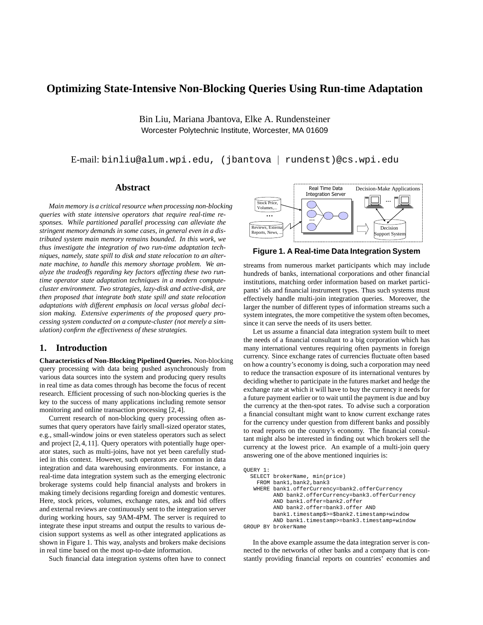# **Optimizing State-Intensive Non-Blocking Queries Using Run-time Adaptation**

Bin Liu, Mariana Jbantova, Elke A. Rundensteiner Worcester Polytechnic Institute, Worcester, MA 01609

E-mail: binliu@alum.wpi.edu, (jbantova | rundenst)@cs.wpi.edu

## **Abstract**

*Main memory is a critical resource when processing non-blocking queries with state intensive operators that require real-time responses. While partitioned parallel processing can alleviate the stringent memory demands in some cases, in general even in a distributed system main memory remains bounded. In this work, we thus investigate the integration of two run-time adaptation techniques, namely, state spill to disk and state relocation to an alternate machine, to handle this memory shortage problem. We analyze the tradeoffs regarding key factors affecting these two runtime operator state adaptation techniques in a modern computecluster environment. Two strategies, lazy-disk and active-disk, are then proposed that integrate both state spill and state relocation adaptations with different emphasis on local versus global decision making. Extensive experiments of the proposed query processing system conducted on a compute-cluster (not merely a simulation) confirm the effectiveness of these strategies.*

## **1. Introduction**

**Characteristics of Non-Blocking Pipelined Queries.** Non-blocking query processing with data being pushed asynchronously from various data sources into the system and producing query results in real time as data comes through has become the focus of recent research. Efficient processing of such non-blocking queries is the key to the success of many applications including remote sensor monitoring and online transaction processing [2, 4].

Current research of non-blocking query processing often assumes that query operators have fairly small-sized operator states, e.g., small-window joins or even stateless operators such as select and project [2, 4, 11]. Query operators with potentially huge operator states, such as multi-joins, have not yet been carefully studied in this context. However, such operators are common in data integration and data warehousing environments. For instance, a real-time data integration system such as the emerging electronic brokerage systems could help financial analysts and brokers in making timely decisions regarding foreign and domestic ventures. Here, stock prices, volumes, exchange rates, ask and bid offers and external reviews are continuously sent to the integration server during working hours, say 9AM-4PM. The server is required to integrate these input streams and output the results to various decision support systems as well as other integrated applications as shown in Figure 1. This way, analysts and brokers make decisions in real time based on the most up-to-date information.

Such financial data integration systems often have to connect



**Figure 1. A Real-time Data Integration System**

streams from numerous market participants which may include hundreds of banks, international corporations and other financial institutions, matching order information based on market participants' ids and financial instrument types. Thus such systems must effectively handle multi-join integration queries. Moreover, the larger the number of different types of information streams such a system integrates, the more competitive the system often becomes, since it can serve the needs of its users better.

Let us assume a financial data integration system built to meet the needs of a financial consultant to a big corporation which has many international ventures requiring often payments in foreign currency. Since exchange rates of currencies fluctuate often based on how a country's economy is doing, such a corporation may need to reduce the transaction exposure of its international ventures by deciding whether to participate in the futures market and hedge the exchange rate at which it will have to buy the currency it needs for a future payment earlier or to wait until the payment is due and buy the currency at the then-spot rates. To advise such a corporation a financial consultant might want to know current exchange rates for the currency under question from different banks and possibly to read reports on the country's economy. The financial consultant might also be interested in finding out which brokers sell the currency at the lowest price. An example of a multi-join query answering one of the above mentioned inquiries is:

```
QUERY 1:
  SELECT brokerName, min(price)
    FROM bank1, bank2, bank3
   WHERE bank1.offerCurrency=bank2.offerCurrency
         AND bank2.offerCurrency=bank3.offerCurrency
         AND bank1.offer=bank2.offer
         AND bank2.offer=bank3.offer AND
         bank1.timestamp$>=$bank2.timestamp+window
         AND bank1.timestamp>=bank3.timestamp+window
GROUP BY brokerName
```
In the above example assume the data integration server is connected to the networks of other banks and a company that is constantly providing financial reports on countries' economies and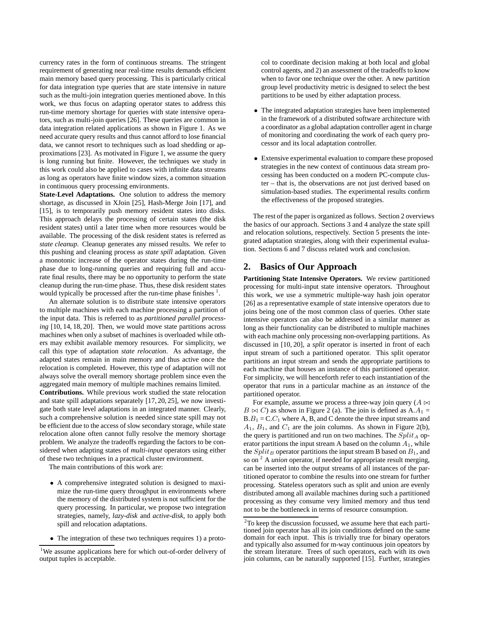currency rates in the form of continuous streams. The stringent requirement of generating near real-time results demands efficient main memory based query processing. This is particularly critical for data integration type queries that are state intensive in nature such as the multi-join integration queries mentioned above. In this work, we thus focus on adapting operator states to address this run-time memory shortage for queries with state intensive operators, such as multi-join queries [26]. These queries are common in data integration related applications as shown in Figure 1. As we need accurate query results and thus cannot afford to lose financial data, we cannot resort to techniques such as load shedding or approximations [23]. As motivated in Figure 1, we assume the query is long running but finite. However, the techniques we study in this work could also be applied to cases with infinite data streams as long as operators have finite window sizes, a common situation in continuous query processing environments.

**State-Level Adaptations.** One solution to address the memory shortage, as discussed in XJoin [25], Hash-Merge Join [17], and [15], is to temporarily push memory resident states into disks. This approach delays the processing of certain states (the disk resident states) until a later time when more resources would be available. The processing of the disk resident states is referred as *state cleanup*. Cleanup generates any missed results. We refer to this pushing and cleaning process as *state spill* adaptation. Given a monotonic increase of the operator states during the run-time phase due to long-running queries and requiring full and accurate final results, there may be no opportunity to perform the state cleanup during the run-time phase. Thus, these disk resident states would typically be processed after the run-time phase finishes  $<sup>1</sup>$ .</sup>

An alternate solution is to distribute state intensive operators to multiple machines with each machine processing a partition of the input data. This is referred to as *partitioned parallel processing* [10, 14, 18, 20]. Then, we would move state partitions across machines when only a subset of machines is overloaded while others may exhibit available memory resources. For simplicity, we call this type of adaptation *state relocation*. As advantage, the adapted states remain in main memory and thus active once the relocation is completed. However, this type of adaptation will not always solve the overall memory shortage problem since even the aggregated main memory of multiple machines remains limited.

**Contributions.** While previous work studied the state relocation and state spill adaptations separately [17, 20, 25], we now investigate both state level adaptations in an integrated manner. Clearly, such a comprehensive solution is needed since state spill may not be efficient due to the access of slow secondary storage, while state relocation alone often cannot fully resolve the memory shortage problem. We analyze the tradeoffs regarding the factors to be considered when adapting states of *multi-input* operators using either of these two techniques in a practical cluster environment.

The main contributions of this work are:

- A comprehensive integrated solution is designed to maximize the run-time query throughput in environments where the memory of the distributed system is not sufficient for the query processing. In particular, we propose two integration strategies, namely, *lazy-disk* and *active-disk*, to apply both spill and relocation adaptations.
- The integration of these two techniques requires 1) a proto-

col to coordinate decision making at both local and global control agents, and 2) an assessment of the tradeoffs to know when to favor one technique over the other. A new partition group level productivity metric is designed to select the best partitions to be used by either adaptation process.

- The integrated adaptation strategies have been implemented in the framework of a distributed software architecture with a coordinator as a global adaptation controller agent in charge of monitoring and coordinating the work of each query processor and its local adaptation controller.
- Extensive experimental evaluation to compare these proposed strategies in the new context of continuous data stream processing has been conducted on a modern PC-compute cluster – that is, the observations are not just derived based on simulation-based studies. The experimental results confirm the effectiveness of the proposed strategies.

The rest of the paper is organized as follows. Section 2 overviews the basics of our approach. Sections 3 and 4 analyze the state spill and relocation solutions, respectively. Section 5 presents the integrated adaptation strategies, along with their experimental evaluation. Sections 6 and 7 discuss related work and conclusion.

### **2. Basics of Our Approach**

**Partitioning State Intensive Operators.** We review partitioned processing for multi-input state intensive operators. Throughout this work, we use a symmetric multiple-way hash join operator [26] as a representative example of state intensive operators due to joins being one of the most common class of queries. Other state intensive operators can also be addressed in a similar manner as long as their functionality can be distributed to multiple machines with each machine only processing non-overlapping partitions. As discussed in [10, 20], a *split* operator is inserted in front of each input stream of such a partitioned operator. This split operator partitions an input stream and sends the appropriate partitions to each machine that houses an instance of this partitioned operator. For simplicity, we will henceforth refer to each instantiation of the operator that runs in a particular machine as an *instance* of the partitioned operator.

For example, assume we process a three-way join query ( $A \Join$  $B \bowtie C$ ) as shown in Figure 2 (a). The join is defined as A. $A_1 =$  $B.B<sub>1</sub> = C.C<sub>1</sub>$  where A, B, and C denote the three input streams and  $A_1$ ,  $B_1$ , and  $C_1$  are the join columns. As shown in Figure 2(b), the query is partitioned and run on two machines. The  $Split_A$  operator partitions the input stream A based on the column  $A_1$ , while the  $Split_B$  operator partitions the input stream B based on  $B_1$ , and so on <sup>2</sup> A *union* operator, if needed for appropriate result merging, can be inserted into the output streams of all instances of the partitioned operator to combine the results into one stream for further processing. Stateless operators such as split and union are evenly distributed among all available machines during such a partitioned processing as they consume very limited memory and thus tend not to be the bottleneck in terms of resource consumption.

<sup>&</sup>lt;sup>1</sup>We assume applications here for which out-of-order delivery of output tuples is acceptable.

<sup>&</sup>lt;sup>2</sup>To keep the discussion focussed, we assume here that each partitioned join operator has all its join conditions defined on the same domain for each input. This is trivially true for binary operators and typically also assumed for m-way continuous join opeators by the stream literature. Trees of such operators, each with its own join columns, can be naturally supported [15]. Further, strategies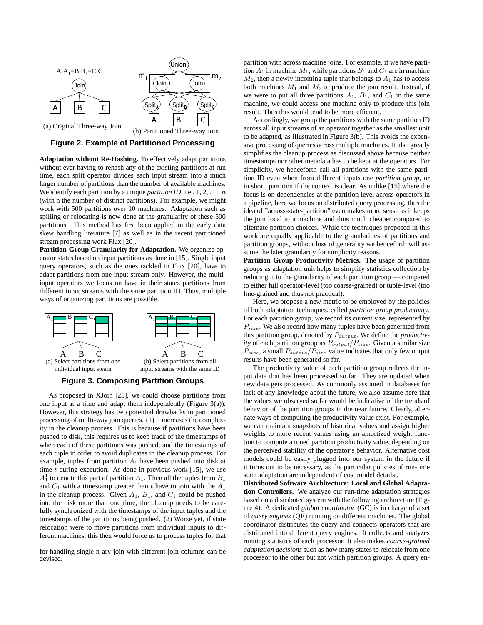

**Figure 2. Example of Partitioned Processing**

**Adaptation without Re-Hashing.** To effectively adapt partitions without ever having to rehash any of the existing partitions at run time, each split operator divides each input stream into a much larger number of partitions than the number of available machines. We identify each partition by a unique *partition ID*, i.e.,  $1, 2, \ldots, n$ (with n the number of distinct partitions). For example, we might work with 500 partitions over 10 machines. Adaptation such as spilling or relocating is now done at the granularity of these 500 partitions. This method has first been applied in the early data skew handling literature [7] as well as in the recent partitioned stream processing work Flux [20].

**Partition-Group Granularity for Adaptation.** We organize operator states based on input partitions as done in [15]. Single input query operators, such as the ones tackled in Flux [20], have to adapt partitions from one input stream only. However, the multiinput operators we focus on have in their states partitions from different input streams with the same partition ID. Thus, multiple ways of organizing partitions are possible.



**Figure 3. Composing Partition Groups**

As proposed in XJoin [25], we could choose partitions from one input at a time and adapt them independently (Figure 3(a)). However, this strategy has two potential drawbacks in partitioned processing of multi-way join queries. (1) It increases the complexity in the cleanup process. This is because if partitions have been pushed to disk, this requires us to keep track of the timestamps of when each of these partitions was pushed, and the timestamps of each tuple in order to avoid duplicates in the cleanup process. For example, tuples from partition  $A_1$  have been pushed into disk at time  $t$  during execution. As done in previous work [15], we use  $A_1^1$  to denote this part of partition  $A_1$ . Then all the tuples from  $B_1$ and  $C_1$  with a timestamp greater than t have to join with the  $A_1^{\overline{1}}$ in the cleanup process. Given  $A_1$ ,  $B_1$ , and  $C_1$  could be pushed into the disk more than one time, the cleanup needs to be carefully synchronized with the timestamps of the input tuples and the timestamps of the partitions being pushed. (2) Worse yet, if state relocation were to move partitions from individual inputs to different machines, this then would force us to process tuples for that

partition with across machine joins. For example, if we have partition  $A_1$  in machine  $M_1$ , while partitions  $B_1$  and  $C_1$  are in machine  $M_2$ , then a newly incoming tuple that belongs to  $A_1$  has to access both machines  $M_1$  and  $M_2$  to produce the join result. Instead, if we were to put all three partitions  $A_1$ ,  $B_1$ , and  $C_1$  in the same machine, we could access one machine only to produce this join result. Thus this would tend to be more efficient.

Accordingly, we group the partitions with the same partition ID across all input streams of an operator together as the smallest unit to be adapted, as illustrated in Figure 3(b). This avoids the expensive processing of queries across multiple machines. It also greatly simplifies the cleanup process as discussed above because neither timestamps nor other metadata has to be kept at the operators. For simplicity, we henceforth call all partitions with the same partition ID even when from different inputs one *partition group*, or in short, partition if the context is clear. As unlike [15] where the focus is on dependencies at the partition level across operators in a pipeline, here we focus on distributed query processing, thus the idea of "across-state-partition" even makes more sense as it keeps the join local to a machine and thus much cheaper compared to alternate partition choices. While the techniques proposed in this work are equally applicable to the granularities of partitions and partition groups, without loss of generality we henceforth will assume the later granularity for simplicity reasons.

**Partition Group Productivity Metrics.** The usage of partition groups as adaptation unit helps to simplify statistics collection by reducing it to the granularity of each partition group — compared to either full operator-level (too coarse-grained) or tuple-level (too fine-grained and thus not practical).

Here, we propose a new metric to be employed by the policies of both adaptation techniques, called *partition group productivity*. For each partition group, we record its current size, represented by  $P_{size}$ . We also record how many tuples have been generated from this partition group, denoted by  $P_{output}$ . We define the *productivity* of each partition group as  $P_{output}/P_{size}$ . Given a similar size  $P_{size}$ , a small  $P_{output}/P_{size}$  value indicates that only few output results have been generated so far.

The productivity value of each partition group reflects the input data that has been processed so far. They are updated when new data gets processed. As commonly assumed in databases for lack of any knowledge about the future, we also assume here that the values we observed so far would be indicative of the trends of behavior of the partition groups in the near future. Clearly, alternate ways of computing the productivity value exist. For example, we can maintain snapshots of historical values and assign higher weights to more recent values using an amortized weight function to compute a tuned partition productivity value, depending on the perceived stability of the operator's behavior. Alternative cost models could be easily plugged into our system in the future if it turns out to be necessary, as the particular policies of run-time state adaptation are independent of cost model details .

**Distributed Software Architecture: Local and Global Adaptation Controllers.** We analyze our run-time adaptation strategies based on a distributed system with the following architecture (Figure 4): A dedicated *global coordinator* (GC) is in charge of a set of *query engines* (QE) running on different machines. The global coordinator distributes the query and connects operators that are distributed into different query engines. It collects and analyzes running statistics of each processor. It also makes *coarse-grained adaptation decisions* such as how many states to relocate from one processor to the other but not which partition groups. A query en-

for handling single n-ary join with different join columns can be devised.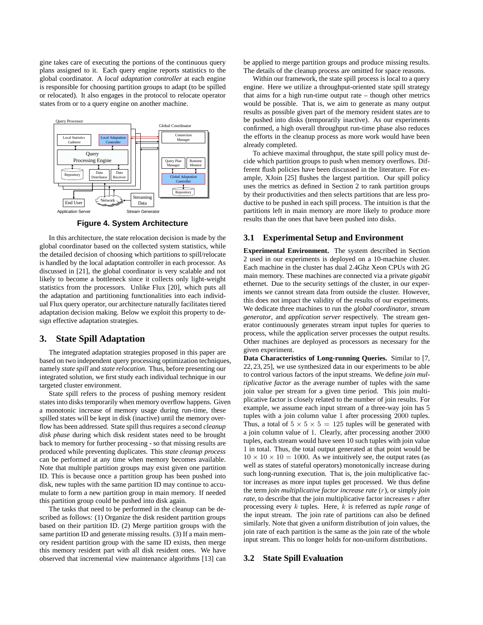gine takes care of executing the portions of the continuous query plans assigned to it. Each query engine reports statistics to the global coordinator. A *local adaptation controller* at each engine is responsible for choosing partition groups to adapt (to be spilled or relocated). It also engages in the protocol to relocate operator states from or to a query engine on another machine.



**Figure 4. System Architecture**

In this architecture, the state relocation decision is made by the global coordinator based on the collected system statistics, while the detailed decision of choosing which partitions to spill/relocate is handled by the local adaptation controller in each processor. As discussed in [21], the global coordinator is very scalable and not likely to become a bottleneck since it collects only light-weight statistics from the processors. Unlike Flux [20], which puts all the adaptation and partitioning functionalities into each individual Flux query operator, our architecture naturally facilitates tiered adaptation decision making. Below we exploit this property to design effective adaptation strategies.

## **3. State Spill Adaptation**

The integrated adaptation strategies proposed in this paper are based on two independent query processing optimization techniques, namely *state spill* and *state relocation*. Thus, before presenting our integrated solution, we first study each individual technique in our targeted cluster environment.

State spill refers to the process of pushing memory resident states into disks temporarily when memory overflow happens. Given a monotonic increase of memory usage during run-time, these spilled states will be kept in disk (inactive) until the memory overflow has been addressed. State spill thus requires a second *cleanup disk phase* during which disk resident states need to be brought back to memory for further processing - so that missing results are produced while preventing duplicates. This *state cleanup process* can be performed at any time when memory becomes available. Note that multiple partition groups may exist given one partition ID. This is because once a partition group has been pushed into disk, new tuples with the same partition ID may continue to accumulate to form a new partition group in main memory. If needed this partition group could be pushed into disk again.

The tasks that need to be performed in the cleanup can be described as follows: (1) Organize the disk resident partition groups based on their partition ID. (2) Merge partition groups with the same partition ID and generate missing results. (3) If a main memory resident partition group with the same ID exists, then merge this memory resident part with all disk resident ones. We have observed that incremental view maintenance algorithms [13] can be applied to merge partition groups and produce missing results. The details of the cleanup process are omitted for space reasons.

Within our framework, the state spill process is local to a query engine. Here we utilize a throughput-oriented state spill strategy that aims for a high run-time output rate – though other metrics would be possible. That is, we aim to generate as many output results as possible given part of the memory resident states are to be pushed into disks (temporarily inactive). As our experiments confirmed, a high overall throughput run-time phase also reduces the efforts in the cleanup process as more work would have been already completed.

To achieve maximal throughput, the state spill policy must decide which partition groups to push when memory overflows. Different flush policies have been discussed in the literature. For example, XJoin [25] flushes the largest partition. Our spill policy uses the metrics as defined in Section 2 to rank partition groups by their productivities and then selects partitions that are less productive to be pushed in each spill process. The intuition is that the partitions left in main memory are more likely to produce more results than the ones that have been pushed into disks.

### **3.1 Experimental Setup and Environment**

**Experimental Environment.** The system described in Section 2 used in our experiments is deployed on a 10-machine cluster. Each machine in the cluster has dual 2.4Ghz Xeon CPUs with 2G main memory. These machines are connected via a private *gigabit* ethernet. Due to the security settings of the cluster, in our experiments we cannot stream data from outside the cluster. However, this does not impact the validity of the results of our experiments. We dedicate three machines to run the *global coordinator*, *stream generator*, and *application server* respectively. The stream generator continuously generates stream input tuples for queries to process, while the application server processes the output results. Other machines are deployed as processors as necessary for the given experiment.

**Data Characteristics of Long-running Queries.** Similar to [7, 22, 23, 25], we use synthesized data in our experiments to be able to control various factors of the input streams. We define *join multiplicative factor* as the average number of tuples with the same join value per stream for a given time period. This join multiplicative factor is closely related to the number of join results. For example, we assume each input stream of a three-way join has 5 tuples with a join column value 1 after processing 2000 tuples. Thus, a total of  $5 \times 5 \times 5 = 125$  tuples will be generated with a join column value of 1. Clearly, after processing another 2000 tuples, each stream would have seen 10 such tuples with join value 1 in total. Thus, the total output generated at that point would be  $10 \times 10 \times 10 = 1000$ . As we intuitively see, the output rates (as well as states of stateful operators) monotonically increase during such long-running execution. That is, the join multiplicative factor increases as more input tuples get processed. We thus define the term *join multiplicative factor increase rate* (r), or simply *join rate*, to describe that the join multiplicative factor increases r after processing every k tuples. Here, k is referred as *tuple range* of the input stream. The join rate of partitions can also be defined similarly. Note that given a uniform distribution of join values, the join rate of each partition is the same as the join rate of the whole input stream. This no longer holds for non-uniform distributions.

### **3.2 State Spill Evaluation**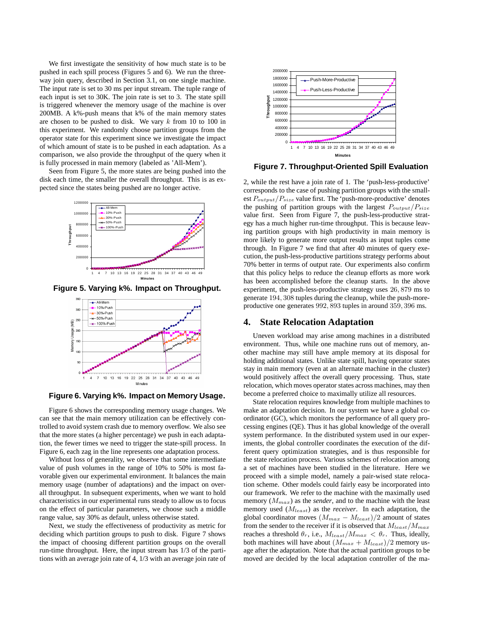We first investigate the sensitivity of how much state is to be pushed in each spill process (Figures 5 and 6). We run the threeway join query, described in Section 3.1, on one single machine. The input rate is set to 30 ms per input stream. The tuple range of each input is set to 30K. The join rate is set to 3. The state spill is triggered whenever the memory usage of the machine is over 200MB. A k%-push means that k% of the main memory states are chosen to be pushed to disk. We vary  $k$  from 10 to 100 in this experiment. We randomly choose partition groups from the operator state for this experiment since we investigate the impact of which amount of state is to be pushed in each adaptation. As a comparison, we also provide the throughput of the query when it is fully processed in main memory (labeled as 'All-Mem').

Seen from Figure 5, the more states are being pushed into the disk each time, the smaller the overall throughput. This is as expected since the states being pushed are no longer active.



**Figure 5. Varying k%. Impact on Throughput.**



**Figure 6. Varying k%. Impact on Memory Usage.**

Figure 6 shows the corresponding memory usage changes. We can see that the main memory utilization can be effectively controlled to avoid system crash due to memory overflow. We also see that the more states (a higher percentage) we push in each adaptation, the fewer times we need to trigger the state-spill process. In Figure 6, each zag in the line represents one adaptation process.

Without loss of generality, we observe that some intermediate value of push volumes in the range of 10% to 50% is most favorable given our experimental environment. It balances the main memory usage (number of adaptations) and the impact on overall throughput. In subsequent experiments, when we want to hold characteristics in our experimental runs steady to allow us to focus on the effect of particular parameters, we choose such a middle range value, say 30% as default, unless otherwise stated.

Next, we study the effectiveness of productivity as metric for deciding which partition groups to push to disk. Figure 7 shows the impact of choosing different partition groups on the overall run-time throughput. Here, the input stream has 1/3 of the partitions with an average join rate of 4, 1/3 with an average join rate of



**Figure 7. Throughput-Oriented Spill Evaluation**

2, while the rest have a join rate of 1. The 'push-less-productive' corresponds to the case of pushing partition groups with the smallest  $P_{output}/P_{size}$  value first. The 'push-more-productive' denotes the pushing of partition groups with the largest  $P_{output}/P_{size}$ value first. Seen from Figure 7, the push-less-productive strategy has a much higher run-time throughput. This is because leaving partition groups with high productivity in main memory is more likely to generate more output results as input tuples come through. In Figure 7 we find that after 40 minutes of query execution, the push-less-productive partitions strategy performs about 70% better in terms of output rate. Our experiments also confirm that this policy helps to reduce the cleanup efforts as more work has been accomplished before the cleanup starts. In the above experiment, the push-less-productive strategy uses 26, 879 ms to generate 194, 308 tuples during the cleanup, while the push-moreproductive one generates 992, 893 tuples in around 359, 396 ms.

## **4. State Relocation Adaptation**

Uneven workload may arise among machines in a distributed environment. Thus, while one machine runs out of memory, another machine may still have ample memory at its disposal for holding additional states. Unlike state spill, having operator states stay in main memory (even at an alternate machine in the cluster) would positively affect the overall query processing. Thus, state relocation, which moves operator states across machines, may then become a preferred choice to maximally utilize all resources.

State relocation requires knowledge from multiple machines to make an adaptation decision. In our system we have a global coordinator (GC), which monitors the performance of all query processing engines (QE). Thus it has global knowledge of the overall system performance. In the distributed system used in our experiments, the global controller coordinates the execution of the different query optimization strategies, and is thus responsible for the state relocation process. Various schemes of relocation among a set of machines have been studied in the literature. Here we proceed with a simple model, namely a pair-wised state relocation scheme. Other models could fairly easy be incorporated into our framework. We refer to the machine with the maximally used memory  $(M_{max})$  as the *sender*, and to the machine with the least memory used (Mleast) as the *receiver*. In each adaptation, the global coordinator moves  $(M_{max} - M_{least})/2$  amount of states from the sender to the receiver if it is observed that  $M_{least}/M_{max}$ reaches a threshold  $\theta_r$ , i.e.,  $M_{least}/M_{max} < \theta_r$ . Thus, ideally, both machines will have about  $(M_{max} + M_{least})/2$  memory usage after the adaptation. Note that the actual partition groups to be moved are decided by the local adaptation controller of the ma-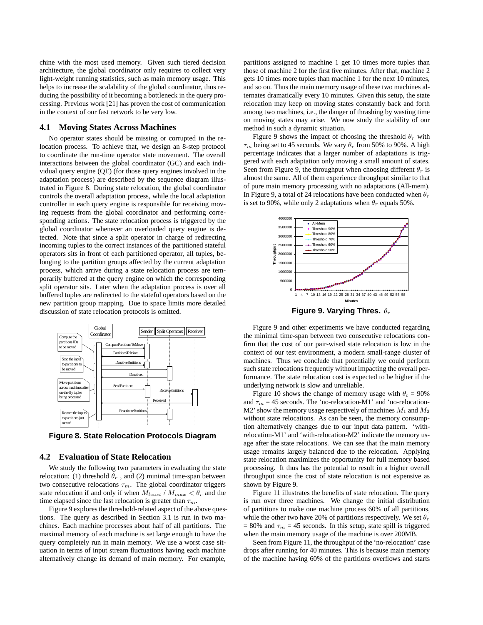chine with the most used memory. Given such tiered decision architecture, the global coordinator only requires to collect very light-weight running statistics, such as main memory usage. This helps to increase the scalability of the global coordinator, thus reducing the possibility of it becoming a bottleneck in the query processing. Previous work [21] has proven the cost of communication in the context of our fast network to be very low.

#### **4.1 Moving States Across Machines**

No operator states should be missing or corrupted in the relocation process. To achieve that, we design an 8-step protocol to coordinate the run-time operator state movement. The overall interactions between the global coordinator (GC) and each individual query engine (QE) (for those query engines involved in the adaptation process) are described by the sequence diagram illustrated in Figure 8. During state relocation, the global coordinator controls the overall adaptation process, while the local adaptation controller in each query engine is responsible for receiving moving requests from the global coordinator and performing corresponding actions. The state relocation process is triggered by the global coordinator whenever an overloaded query engine is detected. Note that since a split operator in charge of redirecting incoming tuples to the correct instances of the partitioned stateful operators sits in front of each partitioned operator, all tuples, belonging to the partition groups affected by the current adaptation process, which arrive during a state relocation process are temporarily buffered at the query engine on which the corresponding split operator sits. Later when the adaptation process is over all buffered tuples are redirected to the stateful operators based on the new partition group mapping. Due to space limits more detailed discussion of state relocation protocols is omitted.



**Figure 8. State Relocation Protocols Diagram**

## **4.2 Evaluation of State Relocation**

We study the following two parameters in evaluating the state relocation: (1) threshold  $\theta_r$ , and (2) minimal time-span between two consecutive relocations  $\tau_m$ . The global coordinator triggers state relocation if and only if when  $M_{least}$  /  $M_{max}$  <  $\theta_r$  and the time elapsed since the last relocation is greater than  $\tau_m$ .

Figure 9 explores the threshold-related aspect of the above questions. The query as described in Section 3.1 is run in two machines. Each machine processes about half of all partitions. The maximal memory of each machine is set large enough to have the query completely run in main memory. We use a worst case situation in terms of input stream fluctuations having each machine alternatively change its demand of main memory. For example,

partitions assigned to machine 1 get 10 times more tuples than those of machine 2 for the first five minutes. After that, machine 2 gets 10 times more tuples than machine 1 for the next 10 minutes, and so on. Thus the main memory usage of these two machines alternates dramatically every 10 minutes. Given this setup, the state relocation may keep on moving states constantly back and forth among two machines, i.e., the danger of thrashing by wasting time on moving states may arise. We now study the stability of our method in such a dynamic situation.

Figure 9 shows the impact of choosing the threshold  $\theta_r$  with  $\tau_m$  being set to 45 seconds. We vary  $\theta_r$  from 50% to 90%. A high percentage indicates that a larger number of adaptations is triggered with each adaptation only moving a small amount of states. Seen from Figure 9, the throughput when choosing different  $\theta_r$  is almost the same. All of them experience throughput similar to that of pure main memory processing with no adaptations (All-mem). In Figure 9, a total of 24 relocations have been conducted when  $\theta_r$ is set to 90%, while only 2 adaptations when  $\theta_r$  equals 50%.



Figure 9 and other experiments we have conducted regarding the minimal time-span between two consecutive relocations confirm that the cost of our pair-wised state relocation is low in the context of our test environment, a modern small-range cluster of machines. Thus we conclude that potentially we could perform such state relocations frequently without impacting the overall performance. The state relocation cost is expected to be higher if the underlying network is slow and unreliable.

Figure 10 shows the change of memory usage with  $\theta_t = 90\%$ and  $\tau_m = 45$  seconds. The 'no-relocation-M1' and 'no-relocation-M2' show the memory usage respectively of machines  $M_1$  and  $M_2$ without state relocations. As can be seen, the memory consumption alternatively changes due to our input data pattern. 'withrelocation-M1' and 'with-relocation-M2' indicate the memory usage after the state relocations. We can see that the main memory usage remains largely balanced due to the relocation. Applying state relocation maximizes the opportunity for full memory based processing. It thus has the potential to result in a higher overall throughput since the cost of state relocation is not expensive as shown by Figure 9.

Figure 11 illustrates the benefits of state relocation. The query is run over three machines. We change the initial distribution of partitions to make one machine process 60% of all partitions, while the other two have 20% of partitions respectively. We set  $\theta_r$  $= 80\%$  and  $\tau_m = 45$  seconds. In this setup, state spill is triggered when the main memory usage of the machine is over 200MB.

Seen from Figure 11, the throughput of the 'no-relocation' case drops after running for 40 minutes. This is because main memory of the machine having 60% of the partitions overflows and starts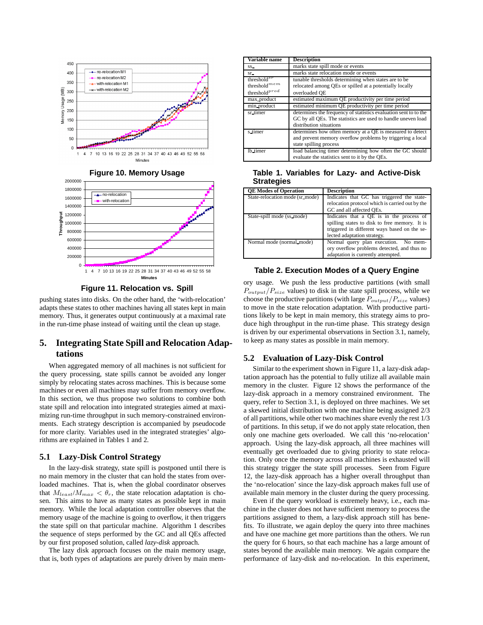





pushing states into disks. On the other hand, the 'with-relocation' adapts these states to other machines having all states kept in main memory. Thus, it generates output continuously at a maximal rate in the run-time phase instead of waiting until the clean up stage.

## **5. Integrating State Spill and Relocation Adaptations**

When aggregated memory of all machines is not sufficient for the query processing, state spills cannot be avoided any longer simply by relocating states across machines. This is because some machines or even all machines may suffer from memory overflow. In this section, we thus propose two solutions to combine both state spill and relocation into integrated strategies aimed at maximizing run-time throughput in such memory-constrained environments. Each strategy description is accompanied by pseudocode for more clarity. Variables used in the integrated strategies' algorithms are explained in Tables 1 and 2.

### **5.1 Lazy-Disk Control Strategy**

In the lazy-disk strategy, state spill is postponed until there is no main memory in the cluster that can hold the states from overloaded machines. That is, when the global coordinator observes that  $M_{least}/M_{max} < \theta_r$ , the state relocation adaptation is chosen. This aims to have as many states as possible kept in main memory. While the local adaptation controller observes that the memory usage of the machine is going to overflow, it then triggers the state spill on that particular machine. Algorithm 1 describes the sequence of steps performed by the GC and all QEs affected by our first proposed solution, called *lazy-disk* approach.

The lazy disk approach focuses on the main memory usage, that is, both types of adaptations are purely driven by main mem-

| Variable name             | <b>Description</b>                                               |
|---------------------------|------------------------------------------------------------------|
| $SS_{-}$                  | marks state spill mode or events                                 |
| $sr_{-}$                  | marks state relocation mode or events                            |
| threshold <sup>sr</sup>   | tunable thresholds determining when states are to be             |
| threshold $^{mem}$        | relocated among QEs or spilled at a potentially locally          |
| threshold <sup>prod</sup> | overloaded QE                                                    |
| max product               | estimated maximum QE productivity per time period                |
| min product               | estimated minimum QE productivity per time period                |
| sr_timer                  | determines the frequency of statistics evaluation sent to to the |
|                           | GC by all QEs. The statistics are used to handle uneven load     |
|                           | distribution situations                                          |
| s_timer                   | determines how often memory at a QE is measured to detect        |
|                           | and prevent memory overflow problems by triggering a local       |
|                           | state spilling process                                           |
| lb_timer                  | load balancing timer determining how often the GC should         |
|                           | evaluate the statistics sent to it by the QEs.                   |

**Table 1. Variables for Lazy- and Active-Disk Strategies**

| <b>OE Modes of Operation</b>    | <b>Description</b>                              |
|---------------------------------|-------------------------------------------------|
| State-relocation mode (sr_mode) | Indicates that GC has triggered the state-      |
|                                 | relocation protocol which is carried out by the |
|                                 | GC and all affected OEs.                        |
| State-spill mode (ss_mode)      | Indicates that a QE is in the process of        |
|                                 | spilling states to disk to free memory. It is   |
|                                 | triggered in different ways based on the se-    |
|                                 | lected adaptation strategy.                     |
| Normal mode (normal mode)       | Normal query plan execution. No mem-            |
|                                 | ory overflow problems detected, and thus no     |
|                                 | adaptation is currently attempted.              |

### **Table 2. Execution Modes of a Query Engine**

ory usage. We push the less productive partitions (with small  $P_{output}/P_{size}$  values) to disk in the state spill process, while we choose the productive partitions (with large  $P_{output}/P_{size}$  values) to move in the state relocation adaptation. With productive partitions likely to be kept in main memory, this strategy aims to produce high throughput in the run-time phase. This strategy design is driven by our experimental observations in Section 3.1, namely, to keep as many states as possible in main memory.

## **5.2 Evaluation of Lazy-Disk Control**

Similar to the experiment shown in Figure 11, a lazy-disk adaptation approach has the potential to fully utilize all available main memory in the cluster. Figure 12 shows the performance of the lazy-disk approach in a memory constrained environment. The query, refer to Section 3.1, is deployed on three machines. We set a skewed initial distribution with one machine being assigned 2/3 of all partitions, while other two machines share evenly the rest 1/3 of partitions. In this setup, if we do not apply state relocation, then only one machine gets overloaded. We call this 'no-relocation' approach. Using the lazy-disk approach, all three machines will eventually get overloaded due to giving priority to state relocation. Only once the memory across all machines is exhausted will this strategy trigger the state spill processes. Seen from Figure 12, the lazy-disk approach has a higher overall throughput than the 'no-relocation' since the lazy-disk approach makes full use of available main memory in the cluster during the query processing.

Even if the query workload is extremely heavy, i.e., each machine in the cluster does not have sufficient memory to process the partitions assigned to them, a lazy-disk approach still has benefits. To illustrate, we again deploy the query into three machines and have one machine get more partitions than the others. We run the query for 6 hours, so that each machine has a large amount of states beyond the available main memory. We again compare the performance of lazy-disk and no-relocation. In this experiment,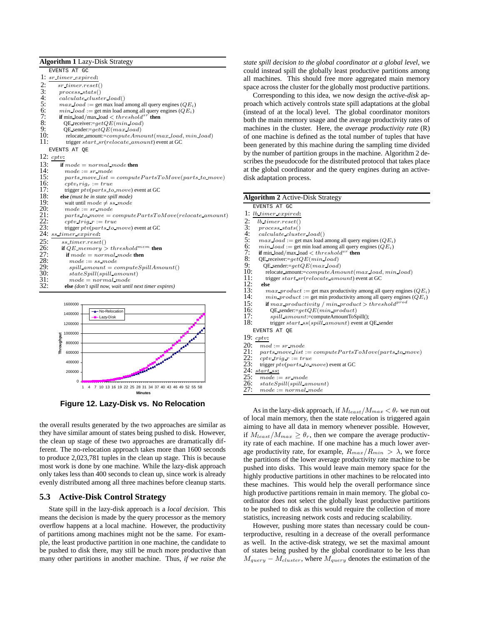| <b>Algorithm 1 Lazy-Disk Strategy</b> |                                                                     |  |
|---------------------------------------|---------------------------------------------------------------------|--|
|                                       | EVENTS AT GC                                                        |  |
|                                       | $1:$ sr_timer_expired:                                              |  |
| 2:                                    | $sr_timer. reset()$                                                 |  |
| 3:                                    | $process\_stats()$                                                  |  |
| 4:                                    | calculate cluster load()                                            |  |
| 5:                                    | $max\, load :=$ get max load among all query engines $(QE_i)$       |  |
| 6:                                    | $min\_load :=$ get min load among all query engines $(QE_i)$        |  |
| 7:                                    | <b>if</b> min_load/max_load $\lt threshold^{sr}$ then               |  |
| 8:                                    | QE receiver:= $getQE(min\_load)$                                    |  |
| 9:                                    | QE sender:= $getQE(max\ load)$                                      |  |
| 10:                                   | relocate amount:= $computeAmount(max\text{ }load, min\text{ }load)$ |  |
| 11:                                   | trigger start_sr(relocate_amount) event at GC                       |  |
|                                       | EVENTS AT OE                                                        |  |
|                                       | 12: $cptv$                                                          |  |
| 13:                                   | <b>if</b> $mode = normal$ mode then                                 |  |
| 14:                                   | $mode := sr$ _mode                                                  |  |
| 15:                                   | $parts\ move\ list = computePartsToMove(parts\ to\ move)$           |  |
| 16:                                   | $cptv_triq_r := true$                                               |  |
| 17:                                   | trigger $ptv(parts_to move)$ event at GC                            |  |
| 18:                                   | else (must be in state spill mode)                                  |  |
| 19:                                   | wait until $mode \neq ss \ mode$                                    |  |
| 20:                                   | $mode := sr$ mode                                                   |  |
| 21:                                   | $parts\ to\ move = computePartsToMove(relocate\ amount)$            |  |
| $\frac{22}{23}$                       | $cptv\_trig_r := true$                                              |  |
|                                       | trigger $ptv(parts_to move)$ event at GC                            |  |
| 24:                                   | ss timer expired:                                                   |  |
| 25:                                   | ss. timer. reset()                                                  |  |
| 26:                                   | if $QE$ memory $> threshold^{mem}$ then                             |  |
| 27:                                   | if $mode = normal$ mode then                                        |  |
| 28:                                   | $mode := ss$ -mode                                                  |  |
| 29:                                   | $spill$ amount = computeSpillAmount()                               |  |
| 30:                                   | $stateSplit(spill\_amount)$                                         |  |
| 31:                                   | $mode = normal$ mode                                                |  |
| 32:                                   | else (don't spill now, wait until next timer expires)               |  |



**Figure 12. Lazy-Disk vs. No Relocation**

the overall results generated by the two approaches are similar as they have similar amount of states being pushed to disk. However, the clean up stage of these two approaches are dramatically different. The no-relocation approach takes more than 1600 seconds to produce 2,023,781 tuples in the clean up stage. This is because most work is done by one machine. While the lazy-disk approach only takes less than 400 seconds to clean up, since work is already evenly distributed among all three machines before cleanup starts.

### **5.3 Active-Disk Control Strategy**

State spill in the lazy-disk approach is a *local decision*. This means the decision is made by the query processor as the memory overflow happens at a local machine. However, the productivity of partitions among machines might not be the same. For example, the least productive partition in one machine, the candidate to be pushed to disk there, may still be much more productive than many other partitions in another machine. Thus, *if we raise the*

*state spill decision to the global coordinator at a global level*, we could instead spill the globally least productive partitions among all machines. This should free more aggregated main memory space across the cluster for the globally most productive partitions.

Corresponding to this idea, we now design the *active-disk* approach which actively controls state spill adaptations at the global (instead of at the local) level. The global coordinator monitors both the main memory usage and the average productivity rates of machines in the cluster. Here, the *average productivity rate* (R) of one machine is defined as the total number of tuples that have been generated by this machine during the sampling time divided by the number of partition groups in the machine. Algorithm 2 describes the pseudocode for the distributed protocol that takes place at the global coordinator and the query engines during an activedisk adaptation process.

#### **Algorithm 2** Active-Disk Strategy EVENTS AT GC 1: lb timer expired**:** 2:  $lb_time \nreset()$ <br>3:  $process\_stats()$ 3: process\_stats()<br>4: calculate\_clust<br>5: max\_load := ge calculate\_cluster\_load() 5:  $max\_{load} := \text{get max load among all query engines } (QE_i)$ <br>6:  $min\_{load} := \text{get min load among all query engines } (QE_i)$ <br>7: **if**  $min\_{load}/max\_{load} < threshold^{sr}$  **then**<br>8: QE\_receiver:= $getQE(min\_{load})$  $min\_load :=$  get min load among all query engines  $(QE_i)$ **if** min load/max load  $\lt threshold^{sr}$  **then** 8: QE\_receiver:= $getQE(min\_load)$ <br>9: OE\_sender:= $aetQE(max\_load)$ 9: QE sender:= $getQE(max\_load)$ <br>10: relocate\_amount:=computeAmount:=11: trigger start\_sr(relocate\_amo  $relocated\_amount: = computeAmount(max\_load, min\_load)$ 11: trigger start\_sr(relocate\_amount) event at GC<br>12: else 12: **else**<br>13:  $\frac{12}{n}$ 13:  $max\_product := get$  max productivity among all query engines  $(QE_i)$ <br>14:  $min\_product := get$  min productivity among all query engines  $(OE_i)$ 14: min product := get min productivity among all query engines  $(QE_i)$ <br>15: **if** max-productivity / min-product > threshold<sup>prod</sup> 15: **if**  $max\_productivity / min\_product > threshold^{prod}$ <br>16: **QE** sender:=getQE(min\_product) 16: QE\_sender:= $getQE(min\_product)$ <br>17:  $split\_amount:=computeAmountT$ 17:  $spill\_amount:=computeAmountToSplit()$ ;<br>18: trigger  $start\_ss(spill\_amount)$  event at trigger start\_ss(spill\_amount) event at QE sender EVENTS AT QE 19: cptv:<br>20: mod<br>21: par<br>22: cptu<br>23: trigg  $mod := sr$  mode  $parts\_move\_list := computePartsToMove(parts\_to\_move)$  $cptv\_trig_r := true$ 23: trigger  $ptv(parts_to_move)$  event at GC<br>24:  $start\_ss$ : 24: <u>start\_ss:</u><br>25: mode::<br>26: stateSp  $mode := sr$ -mode 26:  $stateSplit(spill\_amount)$ <br>27:  $mode := normal-mode$  $mode := normal$  mode

As in the lazy-disk approach, if  $M_{least}/M_{max} < \theta_r$  we run out of local main memory, then the state relocation is triggered again aiming to have all data in memory whenever possible. However, if  $M_{least}/M_{max} \geq \theta_r$ , then we compare the average productivity rate of each machine. If one machine has a much lower average productivity rate, for example,  $R_{max}/R_{min} > \lambda$ , we force the partitions of the lower average productivity rate machine to be pushed into disks. This would leave main memory space for the highly productive partitions in other machines to be relocated into these machines. This would help the overall performance since high productive partitions remain in main memory. The global coordinator does not select the globally least productive partitions to be pushed to disk as this would require the collection of more statistics, increasing network costs and reducing scalability.

However, pushing more states than necessary could be counterproductive, resulting in a decrease of the overall performance as well. In the active-disk strategy, we set the maximal amount of states being pushed by the global coordinator to be less than  $M_{query} - M_{cluster}$ , where  $M_{query}$  denotes the estimation of the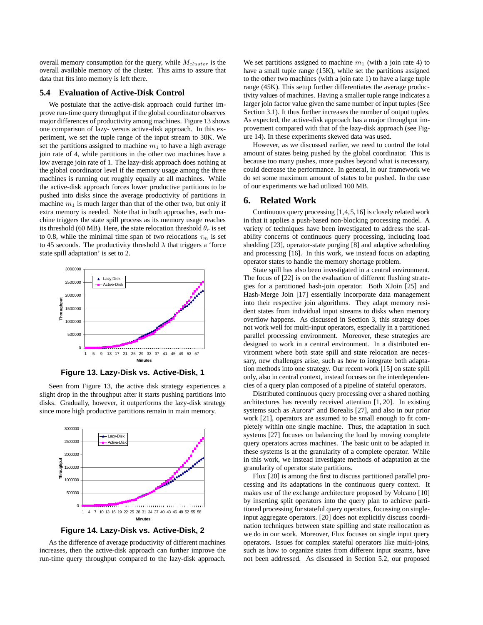overall memory consumption for the query, while  $M_{cluster}$  is the overall available memory of the cluster. This aims to assure that data that fits into memory is left there.

### **5.4 Evaluation of Active-Disk Control**

We postulate that the active-disk approach could further improve run-time query throughput if the global coordinator observes major differences of productivity among machines. Figure 13 shows one comparison of lazy- versus active-disk approach. In this experiment, we set the tuple range of the input stream to 30K. We set the partitions assigned to machine  $m_1$  to have a high average join rate of 4, while partitions in the other two machines have a low average join rate of 1. The lazy-disk approach does nothing at the global coordinator level if the memory usage among the three machines is running out roughly equally at all machines. While the active-disk approach forces lower productive partitions to be pushed into disks since the average productivity of partitions in machine  $m_1$  is much larger than that of the other two, but only if extra memory is needed. Note that in both approaches, each machine triggers the state spill process as its memory usage reaches its threshold (60 MB). Here, the state relocation threshold  $\theta_r$  is set to 0.8, while the minimal time span of two relocations  $\tau_m$  is set to 45 seconds. The productivity threshold  $\lambda$  that triggers a 'force state spill adaptation' is set to 2.



**Figure 13. Lazy-Disk vs. Active-Disk, 1**

Seen from Figure 13, the active disk strategy experiences a slight drop in the throughput after it starts pushing partitions into disks. Gradually, however, it outperforms the lazy-disk strategy since more high productive partitions remain in main memory.



**Figure 14. Lazy-Disk vs. Active-Disk, 2**

As the difference of average productivity of different machines increases, then the active-disk approach can further improve the run-time query throughput compared to the lazy-disk approach. We set partitions assigned to machine  $m_1$  (with a join rate 4) to have a small tuple range (15K), while set the partitions assigned to the other two machines (with a join rate 1) to have a large tuple range (45K). This setup further differentiates the average productivity values of machines. Having a smaller tuple range indicates a larger join factor value given the same number of input tuples (See Section 3.1). It thus further increases the number of output tuples. As expected, the active-disk approach has a major throughput improvement compared with that of the lazy-disk approach (see Figure 14). In these experiments skewed data was used.

However, as we discussed earlier, we need to control the total amount of states being pushed by the global coordinator. This is because too many pushes, more pushes beyond what is necessary, could decrease the performance. In general, in our framework we do set some maximum amount of states to be pushed. In the case of our experiments we had utilized 100 MB.

### **6. Related Work**

Continuous query processing [1,4,5,16] is closely related work in that it applies a push-based non-blocking processing model. A variety of techniques have been investigated to address the scalability concerns of continuous query processing, including load shedding [23], operator-state purging [8] and adaptive scheduling and processing [16]. In this work, we instead focus on adapting operator states to handle the memory shortage problem.

State spill has also been investigated in a central environment. The focus of [22] is on the evaluation of different flushing strategies for a partitioned hash-join operator. Both XJoin [25] and Hash-Merge Join [17] essentially incorporate data management into their respective join algorithms. They adapt memory resident states from individual input streams to disks when memory overflow happens. As discussed in Section 3, this strategy does not work well for multi-input operators, especially in a partitioned parallel processing environment. Moreover, these strategies are designed to work in a central environment. In a distributed environment where both state spill and state relocation are necessary, new challenges arise, such as how to integrate both adaptation methods into one strategy. Our recent work [15] on state spill only, also in central context, instead focuses on the interdependencies of a query plan composed of a pipeline of stateful operators.

Distributed continuous query processing over a shared nothing architectures has recently received attention [1, 20]. In existing systems such as Aurora\* and Borealis [27], and also in our prior work [21], operators are assumed to be small enough to fit completely within one single machine. Thus, the adaptation in such systems [27] focuses on balancing the load by moving complete query operators across machines. The basic unit to be adapted in these systems is at the granularity of a complete operator. While in this work, we instead investigate methods of adaptation at the granularity of operator state partitions.

Flux [20] is among the first to discuss partitioned parallel processing and its adaptations in the continuous query context. It makes use of the exchange architecture proposed by Volcano [10] by inserting split operators into the query plan to achieve partitioned processing for stateful query operators, focussing on singleinput aggregate operators. [20] does not explicitly discuss coordination techniques between state spilling and state reallocation as we do in our work. Moreover, Flux focuses on single input query operators. Issues for complex stateful operators like multi-joins, such as how to organize states from different input steams, have not been addressed. As discussed in Section 5.2, our proposed